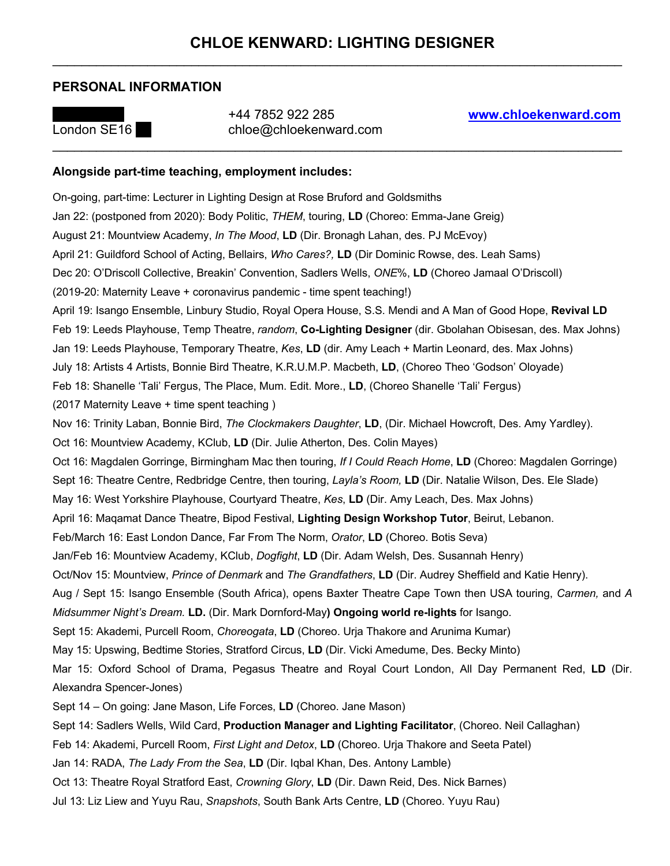## **PERSONAL INFORMATION**



London SE16 \*\*\* chloe@chloekenward.com

## **Alongside part-time teaching, employment includes:**

On-going, part-time: Lecturer in Lighting Design at Rose Bruford and Goldsmiths Jan 22: (postponed from 2020): Body Politic, *THEM*, touring, **LD** (Choreo: Emma-Jane Greig) August 21: Mountview Academy, *In The Mood*, **LD** (Dir. Bronagh Lahan, des. PJ McEvoy) April 21: Guildford School of Acting, Bellairs, *Who Cares?,* **LD** (Dir Dominic Rowse, des. Leah Sams) Dec 20: O'Driscoll Collective, Breakin' Convention, Sadlers Wells, *ONE*%, **LD** (Choreo Jamaal O'Driscoll) (2019-20: Maternity Leave + coronavirus pandemic - time spent teaching!) April 19: Isango Ensemble, Linbury Studio, Royal Opera House, S.S. Mendi and A Man of Good Hope, **Revival LD** Feb 19: Leeds Playhouse, Temp Theatre, *random*, **Co-Lighting Designer** (dir. Gbolahan Obisesan, des. Max Johns) Jan 19: Leeds Playhouse, Temporary Theatre, *Kes*, **LD** (dir. Amy Leach + Martin Leonard, des. Max Johns) July 18: Artists 4 Artists, Bonnie Bird Theatre, K.R.U.M.P. Macbeth, **LD**, (Choreo Theo 'Godson' Oloyade) Feb 18: Shanelle 'Tali' Fergus, The Place, Mum. Edit. More., **LD**, (Choreo Shanelle 'Tali' Fergus) (2017 Maternity Leave + time spent teaching ) Nov 16: Trinity Laban, Bonnie Bird, *The Clockmakers Daughter*, **LD**, (Dir. Michael Howcroft, Des. Amy Yardley). Oct 16: Mountview Academy, KClub, **LD** (Dir. Julie Atherton, Des. Colin Mayes) Oct 16: Magdalen Gorringe, Birmingham Mac then touring, *If I Could Reach Home*, **LD** (Choreo: Magdalen Gorringe) Sept 16: Theatre Centre, Redbridge Centre, then touring, *Layla's Room,* **LD** (Dir. Natalie Wilson, Des. Ele Slade) May 16: West Yorkshire Playhouse, Courtyard Theatre, *Kes*, **LD** (Dir. Amy Leach, Des. Max Johns) April 16: Maqamat Dance Theatre, Bipod Festival, **Lighting Design Workshop Tutor**, Beirut, Lebanon. Feb/March 16: East London Dance, Far From The Norm, *Orator*, **LD** (Choreo. Botis Seva) Jan/Feb 16: Mountview Academy, KClub, *Dogfight*, **LD** (Dir. Adam Welsh, Des. Susannah Henry) Oct/Nov 15: Mountview, *Prince of Denmark* and *The Grandfathers*, **LD** (Dir. Audrey Sheffield and Katie Henry). Aug / Sept 15: Isango Ensemble (South Africa), opens Baxter Theatre Cape Town then USA touring, *Carmen,* and *A Midsummer Night's Dream.* **LD.** (Dir. Mark Dornford-May**) Ongoing world re-lights** for Isango. Sept 15: Akademi, Purcell Room, *Choreogata*, **LD** (Choreo. Urja Thakore and Arunima Kumar) May 15: Upswing, Bedtime Stories, Stratford Circus, **LD** (Dir. Vicki Amedume, Des. Becky Minto) Mar 15: Oxford School of Drama, Pegasus Theatre and Royal Court London, All Day Permanent Red, **LD** (Dir. Alexandra Spencer-Jones) Sept 14 – On going: Jane Mason, Life Forces, **LD** (Choreo. Jane Mason) Sept 14: Sadlers Wells, Wild Card, **Production Manager and Lighting Facilitator**, (Choreo. Neil Callaghan) Feb 14: Akademi, Purcell Room, *First Light and Detox*, **LD** (Choreo. Urja Thakore and Seeta Patel) Jan 14: RADA, *The Lady From the Sea*, **LD** (Dir. Iqbal Khan, Des. Antony Lamble) Oct 13: Theatre Royal Stratford East, *Crowning Glory*, **LD** (Dir. Dawn Reid, Des. Nick Barnes)

Jul 13: Liz Liew and Yuyu Rau, *Snapshots*, South Bank Arts Centre, **LD** (Choreo. Yuyu Rau)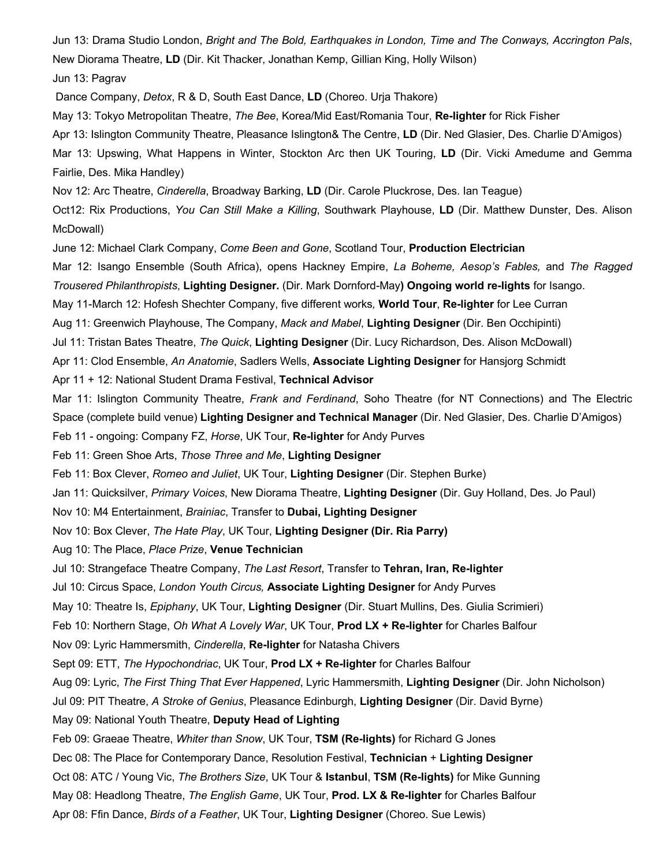Jun 13: Drama Studio London, *Bright and The Bold, Earthquakes in London, Time and The Conways, Accrington Pals*, New Diorama Theatre, **LD** (Dir. Kit Thacker, Jonathan Kemp, Gillian King, Holly Wilson)

Jun 13: Pagrav

Dance Company, *Detox*, R & D, South East Dance, **LD** (Choreo. Urja Thakore)

May 13: Tokyo Metropolitan Theatre, *The Bee*, Korea/Mid East/Romania Tour, **Re-lighter** for Rick Fisher

Apr 13: Islington Community Theatre, Pleasance Islington& The Centre, **LD** (Dir. Ned Glasier, Des. Charlie D'Amigos)

Mar 13: Upswing, What Happens in Winter, Stockton Arc then UK Touring, **LD** (Dir. Vicki Amedume and Gemma Fairlie, Des. Mika Handley)

Nov 12: Arc Theatre, *Cinderella*, Broadway Barking, **LD** (Dir. Carole Pluckrose, Des. Ian Teague)

Oct12: Rix Productions, *You Can Still Make a Killing*, Southwark Playhouse, **LD** (Dir. Matthew Dunster, Des. Alison McDowall)

June 12: Michael Clark Company, *Come Been and Gone*, Scotland Tour, **Production Electrician**

Mar 12: Isango Ensemble (South Africa), opens Hackney Empire, *La Boheme, Aesop's Fables,* and *The Ragged Trousered Philanthropists*, **Lighting Designer.** (Dir. Mark Dornford-May**) Ongoing world re-lights** for Isango.

May 11-March 12: Hofesh Shechter Company, five different works*,* **World Tour**, **Re-lighter** for Lee Curran

Aug 11: Greenwich Playhouse, The Company, *Mack and Mabel*, **Lighting Designer** (Dir. Ben Occhipinti)

Jul 11: Tristan Bates Theatre, *The Quick*, **Lighting Designer** (Dir. Lucy Richardson, Des. Alison McDowall)

Apr 11: Clod Ensemble, *An Anatomie*, Sadlers Wells, **Associate Lighting Designer** for Hansjorg Schmidt

Apr 11 + 12: National Student Drama Festival, **Technical Advisor**

Mar 11: Islington Community Theatre, *Frank and Ferdinand*, Soho Theatre (for NT Connections) and The Electric Space (complete build venue) **Lighting Designer and Technical Manager** (Dir. Ned Glasier, Des. Charlie D'Amigos)

Feb 11 - ongoing: Company FZ, *Horse*, UK Tour, **Re-lighter** for Andy Purves

Feb 11: Green Shoe Arts, *Those Three and Me*, **Lighting Designer**

Feb 11: Box Clever, *Romeo and Juliet*, UK Tour, **Lighting Designer** (Dir. Stephen Burke)

Jan 11: Quicksilver, *Primary Voices*, New Diorama Theatre, **Lighting Designer** (Dir. Guy Holland, Des. Jo Paul)

Nov 10: M4 Entertainment, *Brainiac*, Transfer to **Dubai, Lighting Designer**

Nov 10: Box Clever, *The Hate Play*, UK Tour, **Lighting Designer (Dir. Ria Parry)**

Aug 10: The Place, *Place Prize*, **Venue Technician**

Jul 10: Strangeface Theatre Company, *The Last Resort*, Transfer to **Tehran, Iran, Re-lighter**

Jul 10: Circus Space, *London Youth Circus,* **Associate Lighting Designer** for Andy Purves

May 10: Theatre Is, *Epiphany*, UK Tour, **Lighting Designer** (Dir. Stuart Mullins, Des. Giulia Scrimieri)

Feb 10: Northern Stage, *Oh What A Lovely War*, UK Tour, **Prod LX + Re-lighter** for Charles Balfour

Nov 09: Lyric Hammersmith, *Cinderella*, **Re-lighter** for Natasha Chivers

Sept 09: ETT, *The Hypochondriac*, UK Tour, **Prod LX + Re-lighter** for Charles Balfour

Aug 09: Lyric, *The First Thing That Ever Happened*, Lyric Hammersmith, **Lighting Designer** (Dir. John Nicholson)

Jul 09: PIT Theatre, *A Stroke of Genius*, Pleasance Edinburgh, **Lighting Designer** (Dir. David Byrne)

May 09: National Youth Theatre, **Deputy Head of Lighting**

Feb 09: Graeae Theatre, *Whiter than Snow*, UK Tour, **TSM (Re-lights)** for Richard G Jones

Dec 08: The Place for Contemporary Dance, Resolution Festival, **Technician** + **Lighting Designer**

Oct 08: ATC / Young Vic, *The Brothers Size*, UK Tour & **Istanbul**, **TSM (Re-lights)** for Mike Gunning

May 08: Headlong Theatre, *The English Game*, UK Tour, **Prod. LX & Re-lighter** for Charles Balfour

Apr 08: Ffin Dance, *Birds of a Feather*, UK Tour, **Lighting Designer** (Choreo. Sue Lewis)